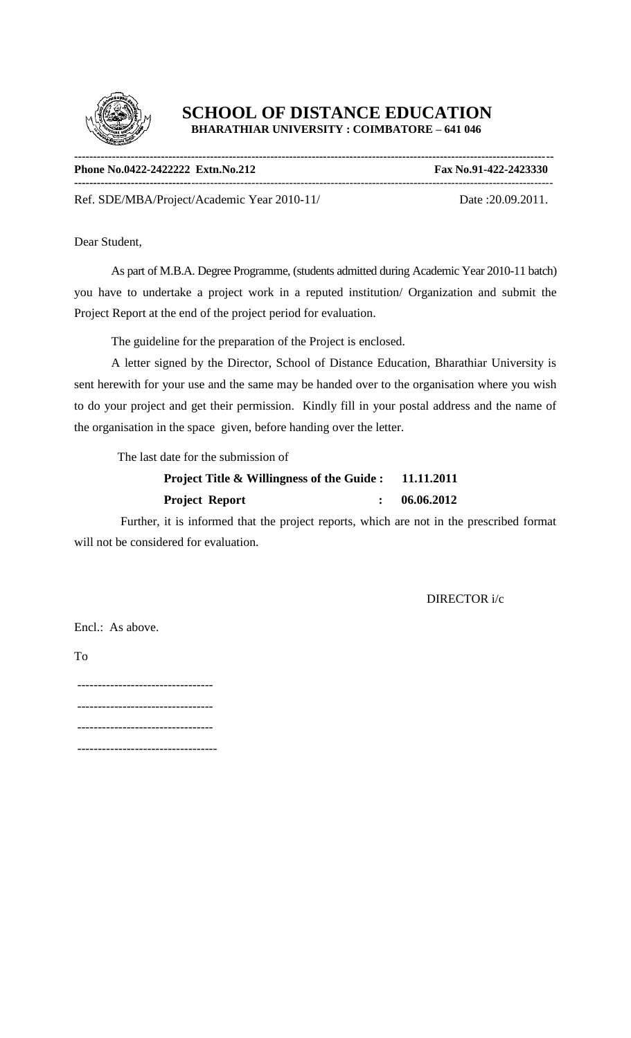

| Phone No.0422-2422222 Extn. No. 212 | Fax No.91-422-2423330 |
|-------------------------------------|-----------------------|
| $R$ $(0.0000000)(0.000000)$         | $R = 20.00.2011$      |

Ref. SDE/MBA/Project/Academic Year 2010-11/ Date :20.09.2011.

Dear Student,

As part of M.B.A. Degree Programme, (students admitted during Academic Year 2010-11 batch) you have to undertake a project work in a reputed institution/ Organization and submit the Project Report at the end of the project period for evaluation.

The guideline for the preparation of the Project is enclosed.

A letter signed by the Director, School of Distance Education, Bharathiar University is sent herewith for your use and the same may be handed over to the organisation where you wish to do your project and get their permission. Kindly fill in your postal address and the name of the organisation in the space given, before handing over the letter.

The last date for the submission of

| <b>Project Title &amp; Willingness of the Guide:</b> | 11.11.2011 |
|------------------------------------------------------|------------|
| <b>Project Report</b>                                | 06.06.2012 |

 Further, it is informed that the project reports, which are not in the prescribed format will not be considered for evaluation.

DIRECTOR i/c

Encl.: As above.

To

--------------------------------- --------------------------------- --------------------------------- ----------------------------------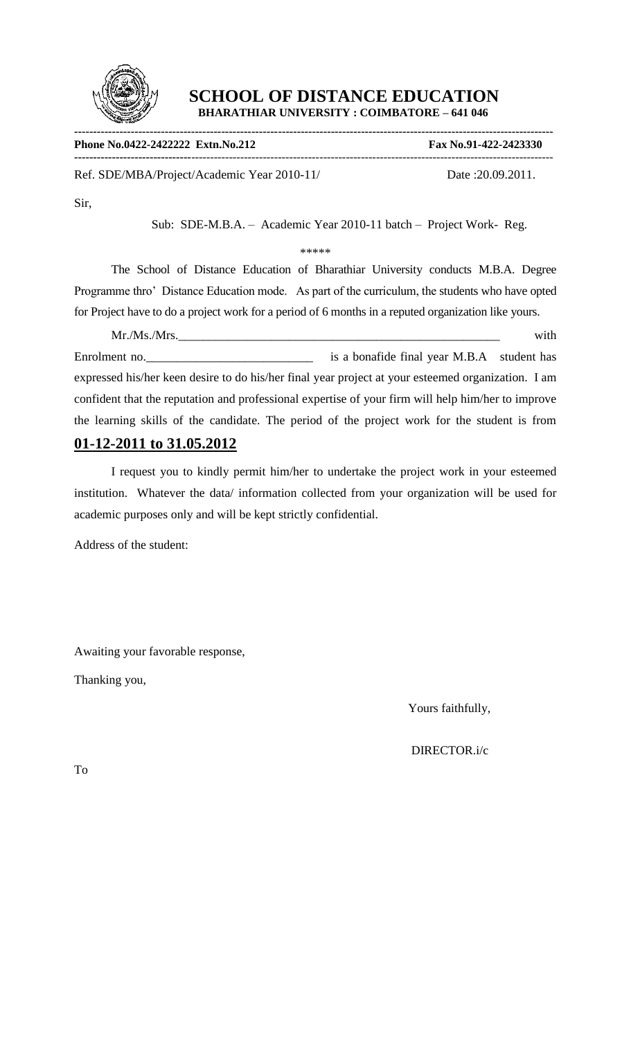

**------------------------------------------------------------------------------------------------------------------------------- Phone No.0422-2422222 Extn.No.212 Fax No.91-422-2423330 -------------------------------**------------------------------------------------------------------------------------------------ Ref. SDE/MBA/Project/Academic Year 2010-11/ Date :20.09.2011.

Sir,

Sub: SDE-M.B.A. – Academic Year 2010-11 batch – Project Work- Reg.

\*\*\*\*\*

The School of Distance Education of Bharathiar University conducts M.B.A. Degree Programme thro' Distance Education mode. As part of the curriculum, the students who have opted for Project have to do a project work for a period of 6 months in a reputed organization like yours.

Mr./Ms./Mrs. with Enrolment no.\_\_\_\_\_\_\_\_\_\_\_\_\_\_\_\_\_\_\_\_\_\_\_\_\_\_\_ is a bonafide final year M.B.A student has expressed his/her keen desire to do his/her final year project at your esteemed organization. I am confident that the reputation and professional expertise of your firm will help him/her to improve the learning skills of the candidate. The period of the project work for the student is from

# **01-12-2011 to 31.05.2012**

I request you to kindly permit him/her to undertake the project work in your esteemed institution. Whatever the data/ information collected from your organization will be used for academic purposes only and will be kept strictly confidential.

Address of the student:

Awaiting your favorable response,

Thanking you,

Yours faithfully,

DIRECTOR.i/c

To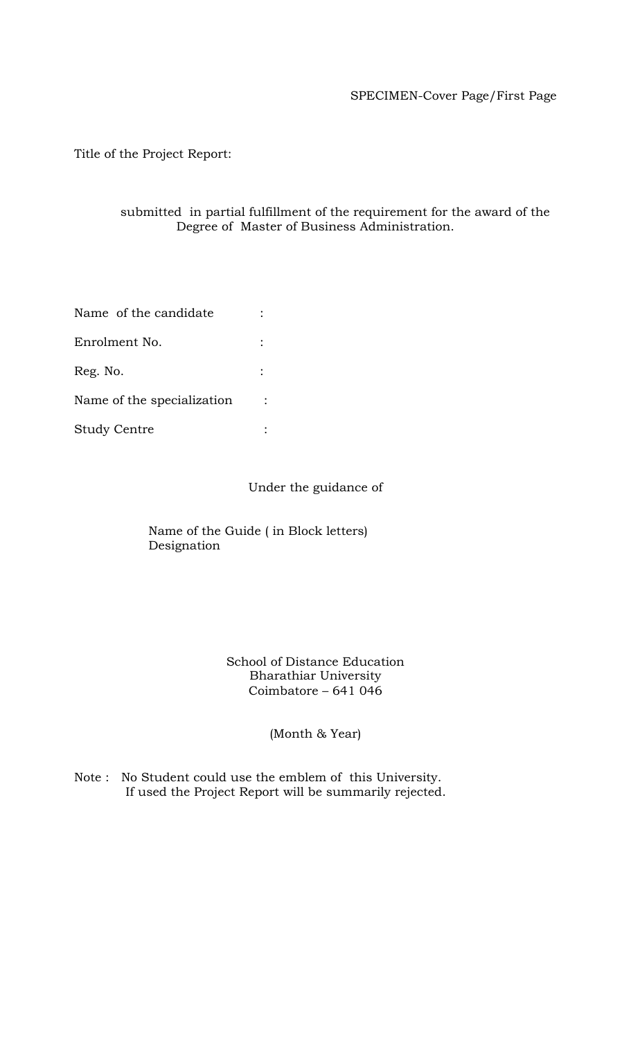# SPECIMEN-Cover Page/First Page

Title of the Project Report:

### submitted in partial fulfillment of the requirement for the award of the Degree of Master of Business Administration.

| Name of the candidate      |  |
|----------------------------|--|
| Enrolment No.              |  |
| Reg. No.                   |  |
| Name of the specialization |  |
| <b>Study Centre</b>        |  |

Under the guidance of

Name of the Guide ( in Block letters) Designation

### School of Distance Education Bharathiar University Coimbatore – 641 046

(Month & Year)

Note : No Student could use the emblem of this University. If used the Project Report will be summarily rejected.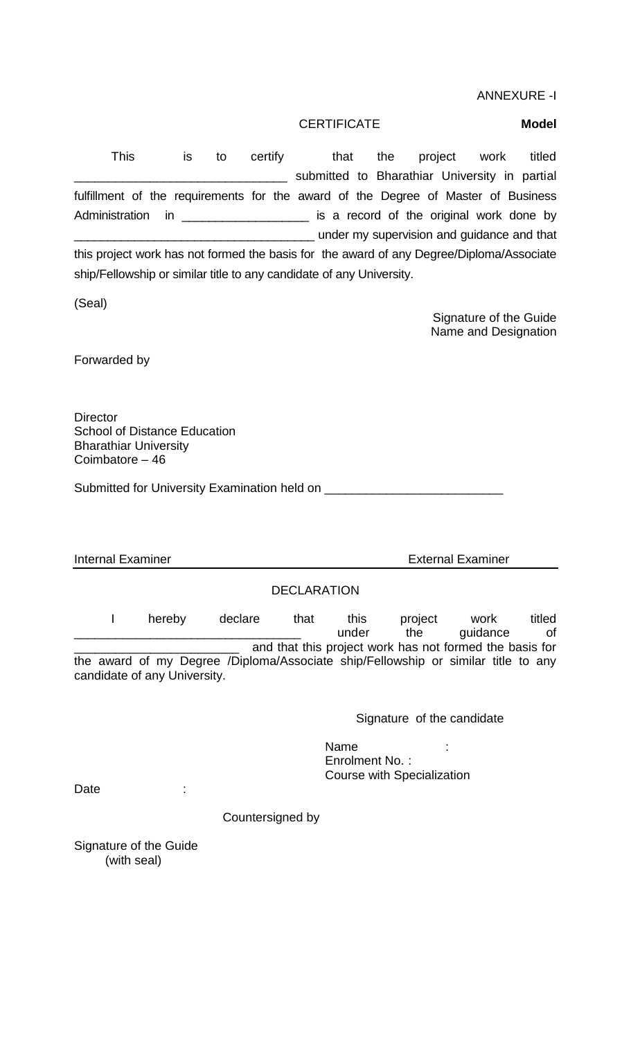CERTIFICATE **Model** This is to certify that the project work titled \_\_\_\_\_\_\_\_\_\_\_\_\_\_\_\_\_\_\_\_\_\_\_\_\_\_\_\_\_\_\_ submitted to Bharathiar University in partial fulfillment of the requirements for the award of the Degree of Master of Business Administration in \_\_\_\_\_\_\_\_\_\_\_\_\_\_\_\_\_\_\_\_\_\_\_\_ is a record of the original work done by \_\_\_\_\_\_\_\_\_\_\_\_\_\_\_\_\_\_\_\_\_\_\_\_\_\_\_\_\_\_\_\_\_\_\_\_ under my supervision and guidance and that this project work has not formed the basis for the award of any Degree/Diploma/Associate ship/Fellowship or similar title to any candidate of any University. (Seal) Signature of the Guide Name and Designation Forwarded by **Director** School of Distance Education Bharathiar University Coimbatore – 46 Submitted for University Examination held on \_\_\_\_\_\_\_\_\_\_\_\_\_\_\_\_\_\_\_\_\_\_\_\_\_\_ Internal Examiner **External Examiner** External Examiner DECLARATION I hereby declare that this project work titled \_\_\_\_\_\_\_\_\_\_\_\_\_\_\_\_\_\_\_\_\_\_\_\_\_\_\_\_\_\_\_\_\_ under the guidance of and that this project work has not formed the basis for the award of my Degree /Diploma/Associate ship/Fellowship or similar title to any candidate of any University. Signature of the candidate en de la contrata de la contrata de la contrata de la contrata de la contrata de la contrata de la contrata de Enrolment No. : Course with Specialization Date : Countersigned by Signature of the Guide (with seal)

ANNEXURE -I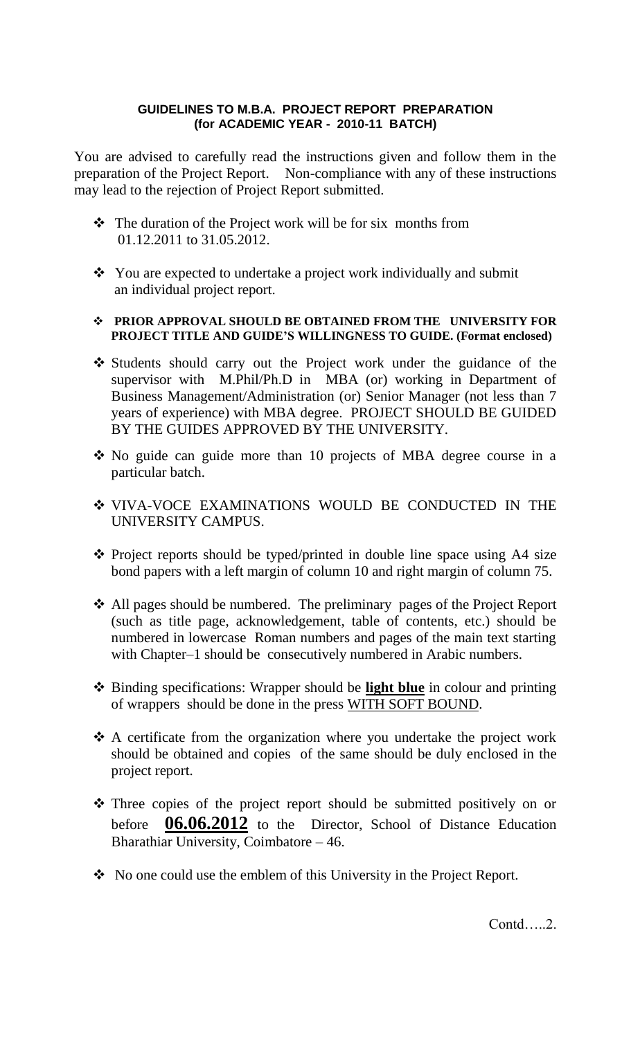### **GUIDELINES TO M.B.A. PROJECT REPORT PREPARATION (for ACADEMIC YEAR - 2010-11 BATCH)**

You are advised to carefully read the instructions given and follow them in the preparation of the Project Report. Non-compliance with any of these instructions may lead to the rejection of Project Report submitted.

- The duration of the Project work will be for six months from 01.12.2011 to 31.05.2012.
- You are expected to undertake a project work individually and submit an individual project report.
- **PRIOR APPROVAL SHOULD BE OBTAINED FROM THE UNIVERSITY FOR PROJECT TITLE AND GUIDE'S WILLINGNESS TO GUIDE. (Format enclosed)**
- \* Students should carry out the Project work under the guidance of the supervisor with M.Phil/Ph.D in MBA (or) working in Department of Business Management/Administration (or) Senior Manager (not less than 7 years of experience) with MBA degree. PROJECT SHOULD BE GUIDED BY THE GUIDES APPROVED BY THE UNIVERSITY.
- No guide can guide more than 10 projects of MBA degree course in a particular batch.
- VIVA-VOCE EXAMINATIONS WOULD BE CONDUCTED IN THE UNIVERSITY CAMPUS.
- $\cdot$  Project reports should be typed/printed in double line space using A4 size bond papers with a left margin of column 10 and right margin of column 75.
- All pages should be numbered. The preliminary pages of the Project Report (such as title page, acknowledgement, table of contents, etc.) should be numbered in lowercase Roman numbers and pages of the main text starting with Chapter–1 should be consecutively numbered in Arabic numbers.
- Binding specifications: Wrapper should be **light blue** in colour and printing of wrappers should be done in the press WITH SOFT BOUND.
- A certificate from the organization where you undertake the project work should be obtained and copies of the same should be duly enclosed in the project report.
- \* Three copies of the project report should be submitted positively on or before **06.06.2012** to the Director, School of Distance Education Bharathiar University, Coimbatore – 46.
- No one could use the emblem of this University in the Project Report.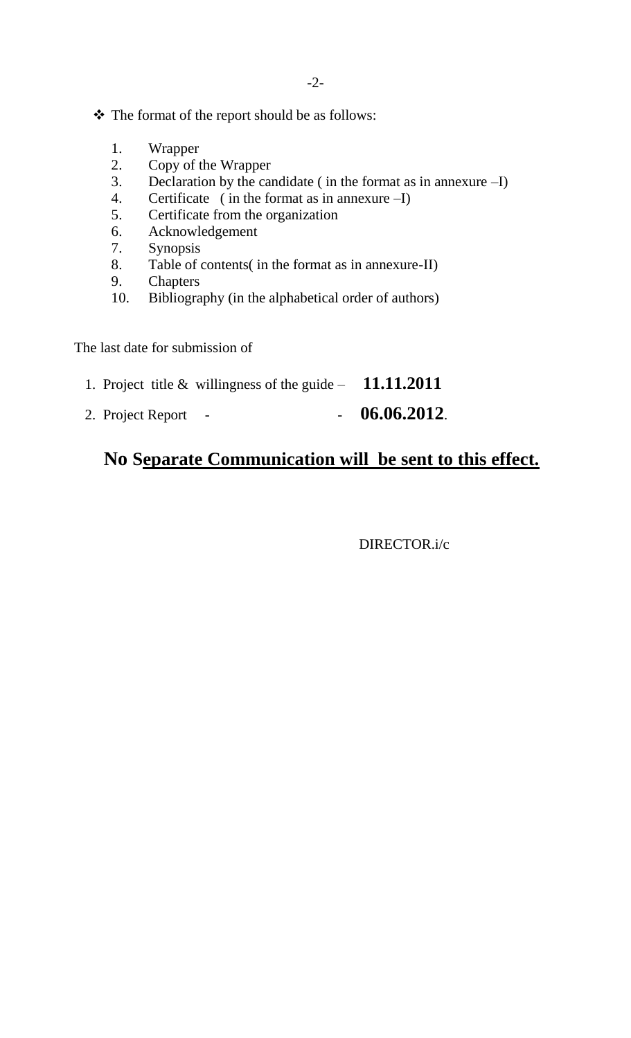- \* The format of the report should be as follows:
	- 1. Wrapper
	- 2. Copy of the Wrapper
	- 3. Declaration by the candidate ( in the format as in annexure –I)
	- 4. Certificate ( in the format as in annexure –I)
	- 5. Certificate from the organization
	- 6. Acknowledgement
	- 7. Synopsis
	- 8. Table of contents( in the format as in annexure-II)
	- 9. Chapters
	- 10. Bibliography (in the alphabetical order of authors)

The last date for submission of

- 1. Project title & willingness of the guide **11.11.2011**
- 2. Project Report - **06.06.2012**.

# **No Separate Communication will be sent to this effect.**

DIRECTOR.i/c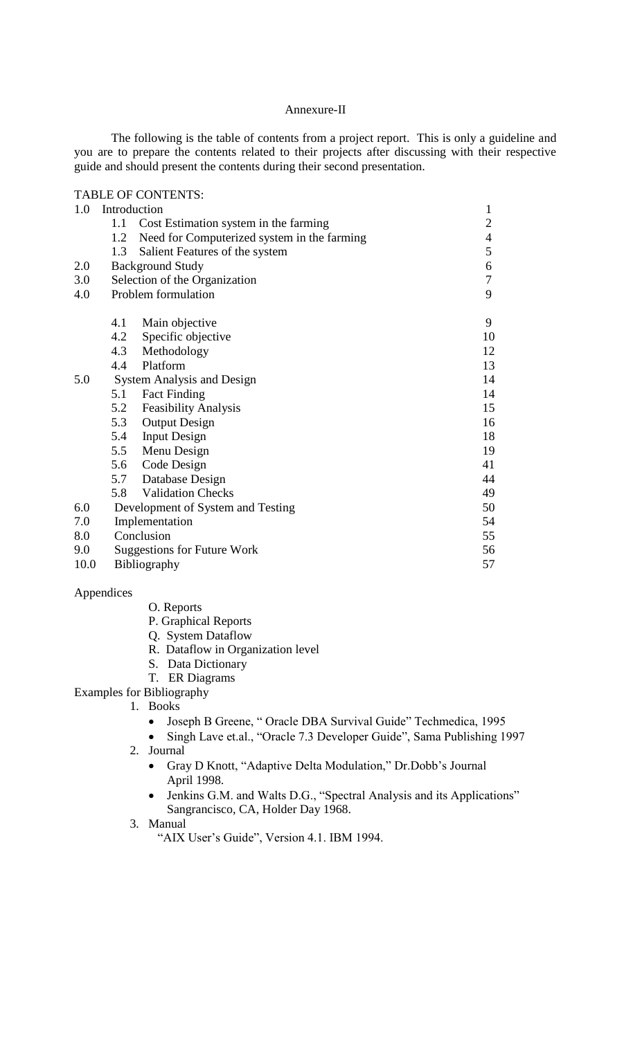#### Annexure-II

The following is the table of contents from a project report. This is only a guideline and you are to prepare the contents related to their projects after discussing with their respective guide and should present the contents during their second presentation.

# TABLE OF CONTENTS:

| 1.0                                      | Introduction |                                             | $\mathbf{1}$   |
|------------------------------------------|--------------|---------------------------------------------|----------------|
|                                          | 1.1          | Cost Estimation system in the farming       | $\overline{2}$ |
|                                          | 1.2          | Need for Computerized system in the farming | $\overline{4}$ |
|                                          | 1.3          | Salient Features of the system              | 5              |
| 2.0                                      |              | <b>Background Study</b>                     | 6              |
| 3.0                                      |              | Selection of the Organization               | $\overline{7}$ |
| 4.0                                      |              | Problem formulation                         | 9              |
|                                          | 4.1          | Main objective                              | 9              |
|                                          |              | 4.2 Specific objective                      | 10             |
|                                          |              | 4.3 Methodology                             | 12             |
|                                          | 4.4          | Platform                                    | 13             |
| <b>System Analysis and Design</b><br>5.0 |              |                                             | 14             |
|                                          | 5.1          | <b>Fact Finding</b>                         | 14             |
|                                          | 5.2          | <b>Feasibility Analysis</b>                 | 15             |
|                                          | 5.3          | <b>Output Design</b>                        | 16             |
|                                          | 5.4          | <b>Input Design</b>                         | 18             |
|                                          |              | 5.5 Menu Design                             | 19             |
|                                          |              | 5.6 Code Design                             | 41             |
|                                          |              | 5.7 Database Design                         | 44             |
|                                          | 5.8          | <b>Validation Checks</b>                    | 49             |
| 6.0                                      |              | Development of System and Testing           | 50             |
| 7.0                                      |              | Implementation                              | 54             |
| 8.0                                      |              | Conclusion                                  | 55             |
| 9.0                                      |              | <b>Suggestions for Future Work</b>          | 56             |
| 10.0                                     |              | Bibliography                                | 57             |

#### Appendices

#### O. Reports

- P. Graphical Reports
- Q. System Dataflow
- R. Dataflow in Organization level
- S. Data Dictionary
- T. ER Diagrams
- Examples for Bibliography
	- 1. Books
		- Joseph B Greene, " Oracle DBA Survival Guide" Techmedica, 1995
		- Singh Lave et.al., "Oracle 7.3 Developer Guide", Sama Publishing 1997
		- 2. Journal
			- Gray D Knott, "Adaptive Delta Modulation," Dr.Dobb's Journal April 1998.
			- Jenkins G.M. and Walts D.G., "Spectral Analysis and its Applications" Sangrancisco, CA, Holder Day 1968.
		- 3. Manual
			- "AIX User's Guide", Version 4.1. IBM 1994.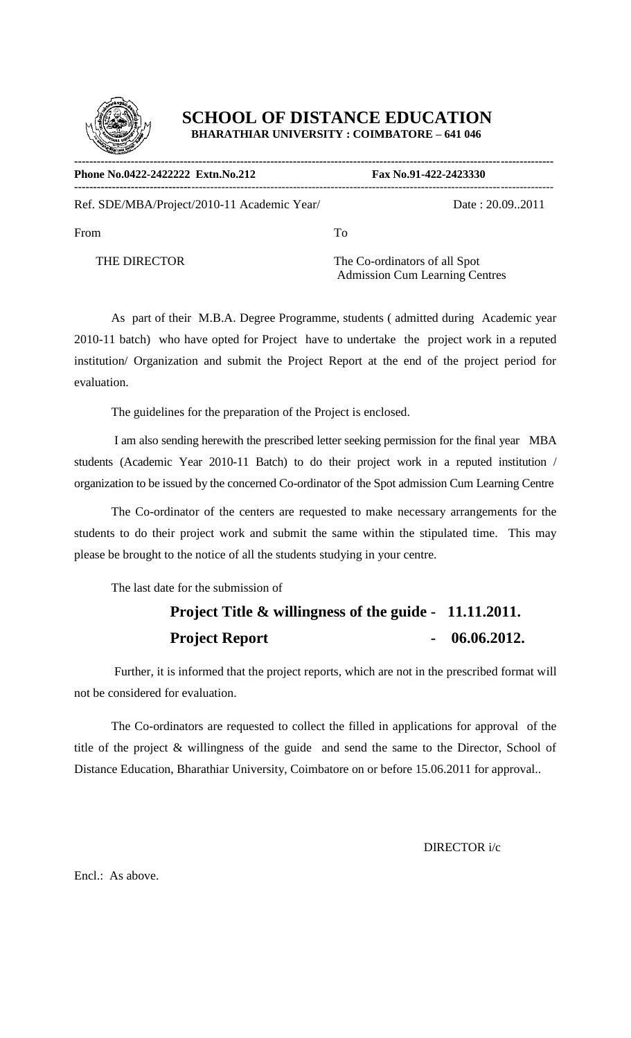

| Phone No.0422-2422222 Extn.No.212           |    | Fax No.91-422-2423330 |  |
|---------------------------------------------|----|-----------------------|--|
| Ref. SDE/MBA/Project/2010-11 Academic Year/ |    | Date: 20.09.2011      |  |
| From                                        | Tо |                       |  |

THE DIRECTOR The Co-ordinators of all Spot Admission Cum Learning Centres

As part of their M.B.A. Degree Programme, students ( admitted during Academic year 2010-11 batch) who have opted for Project have to undertake the project work in a reputed institution/ Organization and submit the Project Report at the end of the project period for evaluation.

The guidelines for the preparation of the Project is enclosed.

I am also sending herewith the prescribed letter seeking permission for the final year MBA students (Academic Year 2010-11 Batch) to do their project work in a reputed institution / organization to be issued by the concerned Co-ordinator of the Spot admission Cum Learning Centre

The Co-ordinator of the centers are requested to make necessary arrangements for the students to do their project work and submit the same within the stipulated time. This may please be brought to the notice of all the students studying in your centre.

The last date for the submission of

# **Project Title & willingness of the guide - 11.11.2011. Project Report** - 06.06.2012.

 Further, it is informed that the project reports, which are not in the prescribed format will not be considered for evaluation.

The Co-ordinators are requested to collect the filled in applications for approval of the title of the project & willingness of the guide and send the same to the Director, School of Distance Education, Bharathiar University, Coimbatore on or before 15.06.2011 for approval..

DIRECTOR i/c

Encl.: As above.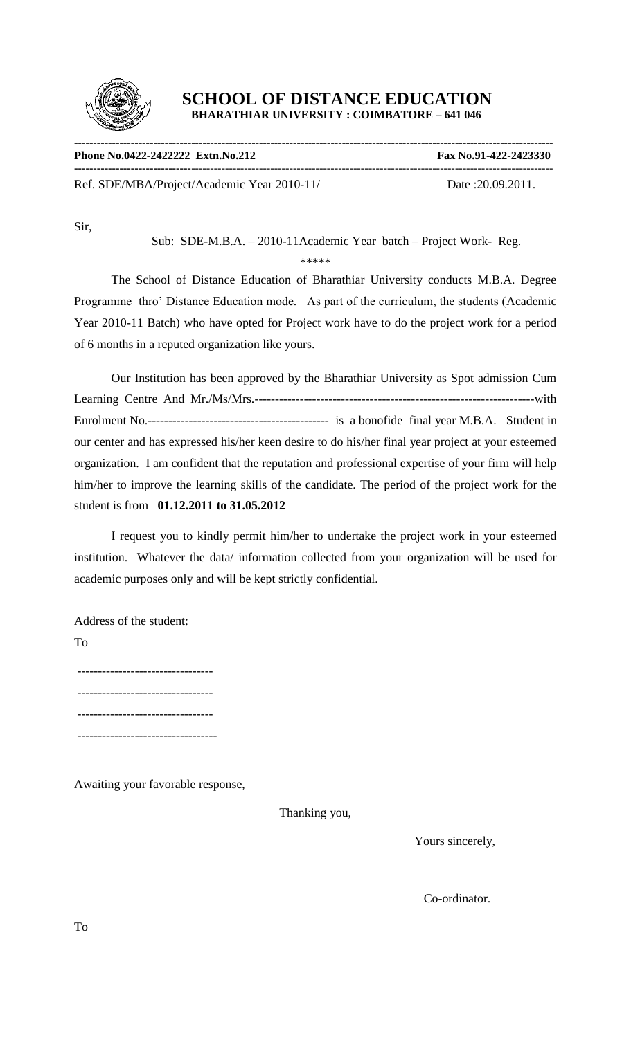

| Phone No.0422-2422222 Extn.No.212           | Fax No.91-422-2423330 |
|---------------------------------------------|-----------------------|
| Ref. SDE/MBA/Project/Academic Year 2010-11/ | Date: 20.09.2011.     |

Sir,

Sub: SDE-M.B.A. – 2010-11Academic Year batch – Project Work- Reg.

\*\*\*\*\*

The School of Distance Education of Bharathiar University conducts M.B.A. Degree Programme thro' Distance Education mode. As part of the curriculum, the students (Academic Year 2010-11 Batch) who have opted for Project work have to do the project work for a period of 6 months in a reputed organization like yours.

Our Institution has been approved by the Bharathiar University as Spot admission Cum Learning Centre And Mr./Ms/Mrs.--------------------------------------------------------------------with Enrolment No.-------------------------------------------- is a bonofide final year M.B.A. Student in our center and has expressed his/her keen desire to do his/her final year project at your esteemed organization. I am confident that the reputation and professional expertise of your firm will help him/her to improve the learning skills of the candidate. The period of the project work for the student is from **01.12.2011 to 31.05.2012**

I request you to kindly permit him/her to undertake the project work in your esteemed institution. Whatever the data/ information collected from your organization will be used for academic purposes only and will be kept strictly confidential.

Address of the student:

To

--------------------------------- --------------------------------- --------------------------------- ----------------------------------

Awaiting your favorable response,

Thanking you,

Yours sincerely,

Co-ordinator.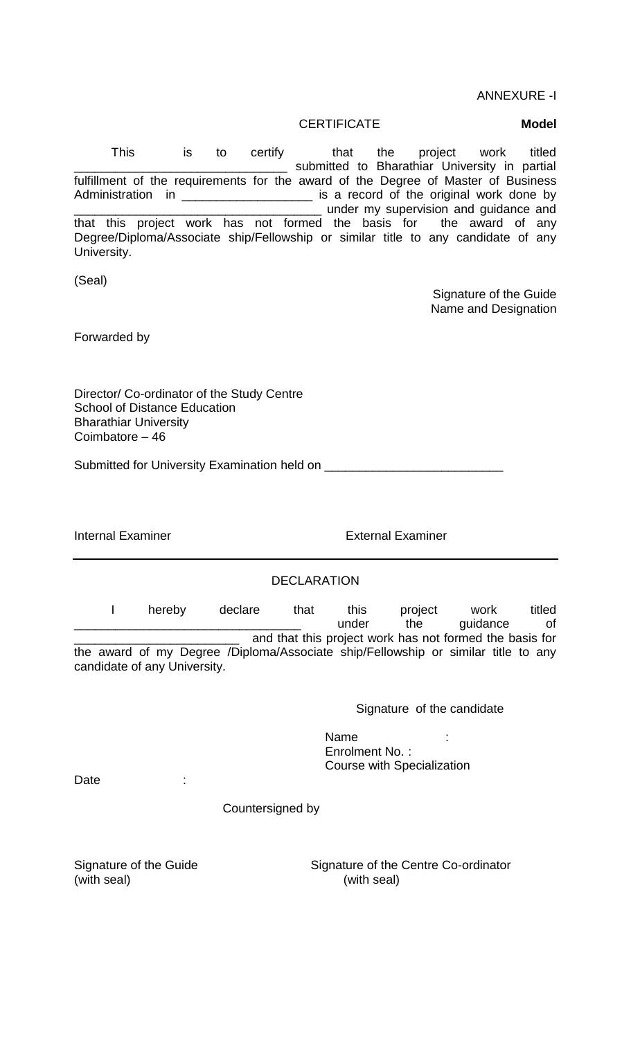ANNEXURE -I

CERTIFICATE **Model**

This is to certify that the project work titled submitted to Bharathiar University in partial fulfillment of the requirements for the award of the Degree of Master of Business Administration in \_\_\_\_\_\_\_\_\_\_\_\_\_\_\_\_\_\_\_\_\_\_\_ is a record of the original work done by \_\_\_\_\_\_\_ under my supervision and guidance and that this project work has not formed the basis for the award of any Degree/Diploma/Associate ship/Fellowship or similar title to any candidate of any University.

(Seal)

Signature of the Guide Name and Designation

Forwarded by

Director/ Co-ordinator of the Study Centre School of Distance Education Bharathiar University Coimbatore – 46

Submitted for University Examination held on \_\_\_\_\_\_\_\_\_\_\_\_\_\_\_\_\_\_\_\_\_\_\_\_\_\_

Internal Examiner **External Examiner** External Examiner

#### DECLARATION

I hereby declare that this project work titled under the guidance of and that this project work has not formed the basis for the award of my Degree /Diploma/Associate ship/Fellowship or similar title to any candidate of any University.

Signature of the candidate

en de la contrata de la contrata de la contrata de la contrata de la contrata de la contrata de la contrata de Enrolment No. : Course with Specialization

Date :

Countersigned by

(with seal) (with seal)

Signature of the Guide Signature of the Centre Co-ordinator